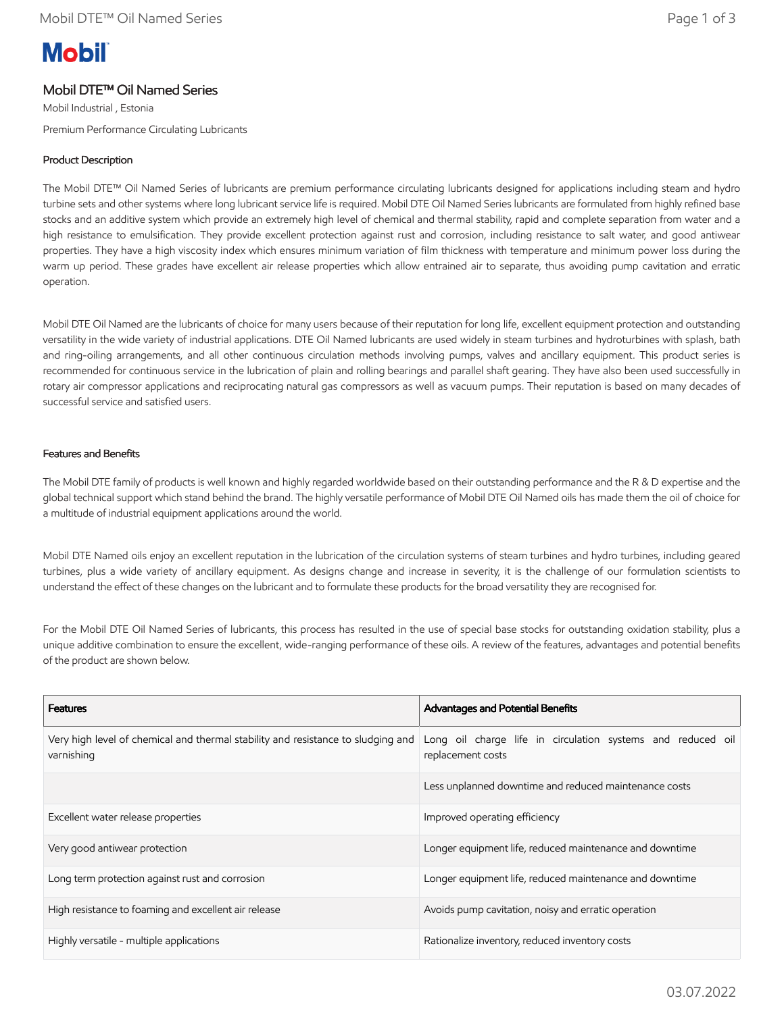# **Mobil**

## Mobil DTE™ Oil Named Series

Mobil Industrial , Estonia Premium Performance Circulating Lubricants

### Product Description

The Mobil DTE™ Oil Named Series of lubricants are premium performance circulating lubricants designed for applications including steam and hydro turbine sets and other systems where long lubricant service life is required. Mobil DTE Oil Named Series lubricants are formulated from highly refined base stocks and an additive system which provide an extremely high level of chemical and thermal stability, rapid and complete separation from water and a high resistance to emulsification. They provide excellent protection against rust and corrosion, including resistance to salt water, and good antiwear properties. They have a high viscosity index which ensures minimum variation of film thickness with temperature and minimum power loss during the warm up period. These grades have excellent air release properties which allow entrained air to separate, thus avoiding pump cavitation and erratic operation.

Mobil DTE Oil Named are the lubricants of choice for many users because of their reputation for long life, excellent equipment protection and outstanding versatility in the wide variety of industrial applications. DTE Oil Named lubricants are used widely in steam turbines and hydroturbines with splash, bath and ring-oiling arrangements, and all other continuous circulation methods involving pumps, valves and ancillary equipment. This product series is recommended for continuous service in the lubrication of plain and rolling bearings and parallel shaft gearing. They have also been used successfully in rotary air compressor applications and reciprocating natural gas compressors as well as vacuum pumps. Their reputation is based on many decades of successful service and satisfied users.

#### Features and Benefits

The Mobil DTE family of products is well known and highly regarded worldwide based on their outstanding performance and the R & D expertise and the global technical support which stand behind the brand. The highly versatile performance of Mobil DTE Oil Named oils has made them the oil of choice for a multitude of industrial equipment applications around the world.

Mobil DTE Named oils enjoy an excellent reputation in the lubrication of the circulation systems of steam turbines and hydro turbines, including geared turbines, plus a wide variety of ancillary equipment. As designs change and increase in severity, it is the challenge of our formulation scientists to understand the effect of these changes on the lubricant and to formulate these products for the broad versatility they are recognised for.

For the Mobil DTE Oil Named Series of lubricants, this process has resulted in the use of special base stocks for outstanding oxidation stability, plus a unique additive combination to ensure the excellent, wide-ranging performance of these oils. A review of the features, advantages and potential benefits of the product are shown below.

| <b>Features</b>                                                                                | Advantages and Potential Benefits                                                |
|------------------------------------------------------------------------------------------------|----------------------------------------------------------------------------------|
| Very high level of chemical and thermal stability and resistance to sludging and<br>varnishing | Long oil charge life in circulation systems and reduced oil<br>replacement costs |
|                                                                                                | Less unplanned downtime and reduced maintenance costs                            |
| Excellent water release properties                                                             | Improved operating efficiency                                                    |
| Very good antiwear protection                                                                  | Longer equipment life, reduced maintenance and downtime                          |
| Long term protection against rust and corrosion                                                | Longer equipment life, reduced maintenance and downtime                          |
| High resistance to foaming and excellent air release                                           | Avoids pump cavitation, noisy and erratic operation                              |
| Highly versatile - multiple applications                                                       | Rationalize inventory, reduced inventory costs                                   |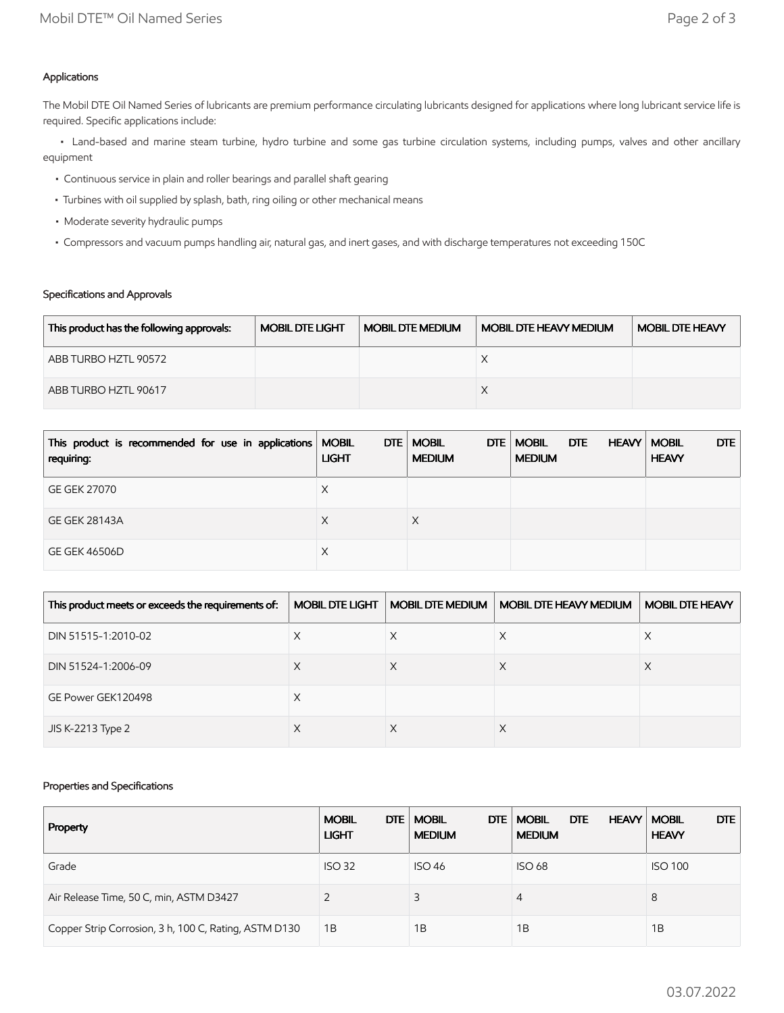## Applications

The Mobil DTE Oil Named Series of lubricants are premium performance circulating lubricants designed for applications where long lubricant service life is required. Specific applications include:

 • Land-based and marine steam turbine, hydro turbine and some gas turbine circulation systems, including pumps, valves and other ancillary equipment

- Continuous service in plain and roller bearings and parallel shaft gearing
- Turbines with oil supplied by splash, bath, ring oiling or other mechanical means
- Moderate severity hydraulic pumps
- Compressors and vacuum pumps handling air, natural gas, and inert gases, and with discharge temperatures not exceeding 150C

## Specifications and Approvals

| This product has the following approvals: | <b>MOBIL DTE LIGHT</b> | <b>MOBIL DTE MEDIUM</b> | <b>MOBIL DTE HEAVY MEDIUM</b> | <b>MOBIL DTE HEAVY</b> |
|-------------------------------------------|------------------------|-------------------------|-------------------------------|------------------------|
| ABB TURBO HZTL 90572                      |                        |                         |                               |                        |
| ABB TURBO HZTL 90617                      |                        |                         |                               |                        |

| This product is recommended for use in applications   MOBIL<br>requiring: | <b>LIGHT</b> | DTE   MOBIL<br>DTE<br><b>MEDIUM</b> | <b>MOBIL</b><br>DTE<br><b>MEDIUM</b> | DTE<br><b>HEAVY   MOBIL</b><br><b>HEAVY</b> |
|---------------------------------------------------------------------------|--------------|-------------------------------------|--------------------------------------|---------------------------------------------|
| <b>GE GEK 27070</b>                                                       | Х            |                                     |                                      |                                             |
| <b>GE GEK 28143A</b>                                                      | Х            |                                     |                                      |                                             |
| <b>GE GEK 46506D</b>                                                      | Х            |                                     |                                      |                                             |

| This product meets or exceeds the requirements of: | <b>MOBIL DTE LIGHT</b> | <b>MOBIL DTE MEDIUM</b> | <b>MOBIL DTE HEAVY MEDIUM</b> | <b>MOBIL DTE HEAVY</b> |
|----------------------------------------------------|------------------------|-------------------------|-------------------------------|------------------------|
| DIN 51515-1:2010-02                                | Х                      | X                       | X                             | ∧                      |
| DIN 51524-1:2006-09                                | ⋏                      |                         |                               |                        |
| GE Power GEK120498                                 | Х                      |                         |                               |                        |
| JIS K-2213 Type 2                                  | $\lambda$              |                         | ∧                             |                        |

#### Properties and Specifications

| Property                                              | DTE  <br><b>MOBIL</b><br><b>LIGHT</b> | <b>MOBIL</b><br>DTE.<br><b>MEDIUM</b> | <b>DTE</b><br><b>MOBIL</b><br><b>HEAVY   MOBIL</b><br><b>MEDIUM</b> | <b>DTE</b><br><b>HEAVY</b> |
|-------------------------------------------------------|---------------------------------------|---------------------------------------|---------------------------------------------------------------------|----------------------------|
| Grade                                                 | <b>ISO 32</b>                         | <b>ISO 46</b>                         | <b>ISO 68</b>                                                       | <b>ISO 100</b>             |
| Air Release Time, 50 C, min, ASTM D3427               |                                       | 3                                     | 4                                                                   | 8                          |
| Copper Strip Corrosion, 3 h, 100 C, Rating, ASTM D130 | 1B                                    | 1B                                    | 1Β                                                                  | 1B                         |